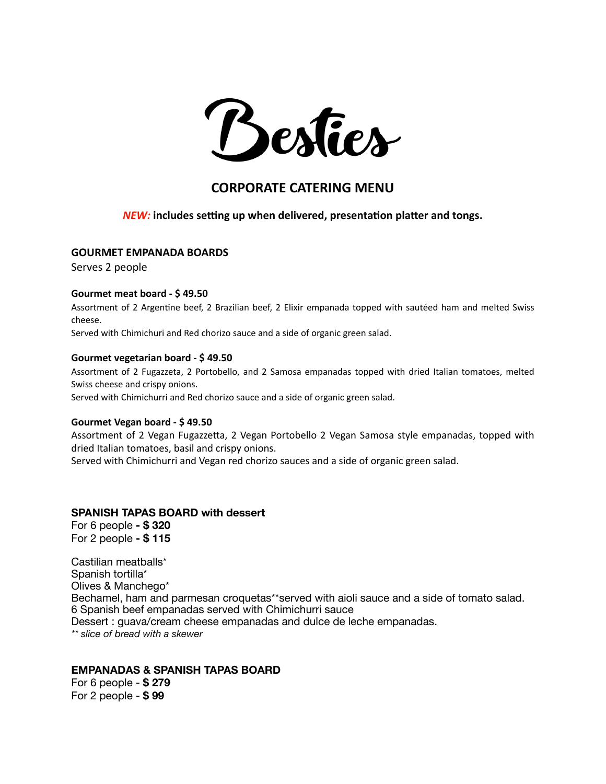

# **CORPORATE CATERING MENU**

# *NEW:* **includes setting up when delivered, presentation platter and tongs.**

#### **GOURMET EMPANADA BOARDS**

Serves 2 people

# **Gourmet meat board - \$ 49.50**

Assortment of 2 Argentine beef, 2 Brazilian beef, 2 Elixir empanada topped with sautéed ham and melted Swiss cheese.

Served with Chimichuri and Red chorizo sauce and a side of organic green salad.

#### **Gourmet vegetarian board - \$ 49.50**

Assortment of 2 Fugazzeta, 2 Portobello, and 2 Samosa empanadas topped with dried Italian tomatoes, melted Swiss cheese and crispy onions.

Served with Chimichurri and Red chorizo sauce and a side of organic green salad.

#### **Gourmet Vegan board - \$ 49.50**

Assortment of 2 Vegan Fugazzetta, 2 Vegan Portobello 2 Vegan Samosa style empanadas, topped with dried Italian tomatoes, basil and crispy onions.

Served with Chimichurri and Vegan red chorizo sauces and a side of organic green salad.

## **SPANISH TAPAS BOARD with dessert**

For 6 people **- \$ 320**  For 2 people **- \$ 115** 

Castilian meatballs\* Spanish tortilla\* Olives & Manchego\* Bechamel, ham and parmesan croquetas\*\*served with aioli sauce and a side of tomato salad. 6 Spanish beef empanadas served with Chimichurri sauce Dessert : guava/cream cheese empanadas and dulce de leche empanadas. *\*\* slice of bread with a skewer* 

# **EMPANADAS & SPANISH TAPAS BOARD**

For 6 people - **\$ 279** For 2 people - **\$ 99**